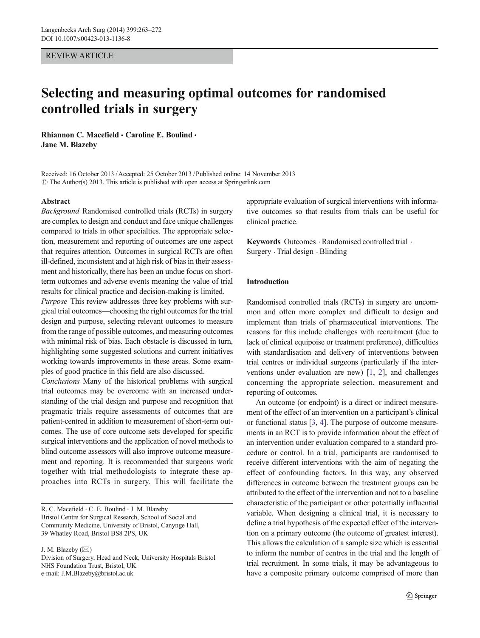## REVIEW ARTICLE

# Selecting and measuring optimal outcomes for randomised controlled trials in surgery

Rhiannon C. Macefield  $\cdot$  Caroline E. Boulind  $\cdot$ Jane M. Blazeby

Received: 16 October 2013 /Accepted: 25 October 2013 /Published online: 14 November 2013  $\circ$  The Author(s) 2013. This article is published with open access at Springerlink.com

### Abstract

Background Randomised controlled trials (RCTs) in surgery are complex to design and conduct and face unique challenges compared to trials in other specialties. The appropriate selection, measurement and reporting of outcomes are one aspect that requires attention. Outcomes in surgical RCTs are often ill-defined, inconsistent and at high risk of bias in their assessment and historically, there has been an undue focus on shortterm outcomes and adverse events meaning the value of trial results for clinical practice and decision-making is limited.

Purpose This review addresses three key problems with surgical trial outcomes—choosing the right outcomes for the trial design and purpose, selecting relevant outcomes to measure from the range of possible outcomes, and measuring outcomes with minimal risk of bias. Each obstacle is discussed in turn, highlighting some suggested solutions and current initiatives working towards improvements in these areas. Some examples of good practice in this field are also discussed.

Conclusions Many of the historical problems with surgical trial outcomes may be overcome with an increased understanding of the trial design and purpose and recognition that pragmatic trials require assessments of outcomes that are patient-centred in addition to measurement of short-term outcomes. The use of core outcome sets developed for specific surgical interventions and the application of novel methods to blind outcome assessors will also improve outcome measurement and reporting. It is recommended that surgeons work together with trial methodologists to integrate these approaches into RCTs in surgery. This will facilitate the

R. C. Macefield · C. E. Boulind · J. M. Blazeby Bristol Centre for Surgical Research, School of Social and Community Medicine, University of Bristol, Canynge Hall, 39 Whatley Road, Bristol BS8 2PS, UK

J. M. Blazeby  $(\boxtimes)$ Division of Surgery, Head and Neck, University Hospitals Bristol NHS Foundation Trust, Bristol, UK e-mail: J.M.Blazeby@bristol.ac.uk

appropriate evaluation of surgical interventions with informative outcomes so that results from trials can be useful for clinical practice.

Keywords Outcomes · Randomised controlled trial . Surgery . Trial design . Blinding

# Introduction

Randomised controlled trials (RCTs) in surgery are uncommon and often more complex and difficult to design and implement than trials of pharmaceutical interventions. The reasons for this include challenges with recruitment (due to lack of clinical equipoise or treatment preference), difficulties with standardisation and delivery of interventions between trial centres or individual surgeons (particularly if the interventions under evaluation are new) [\[1](#page-7-0), [2\]](#page-7-0), and challenges concerning the appropriate selection, measurement and reporting of outcomes.

An outcome (or endpoint) is a direct or indirect measurement of the effect of an intervention on a participant's clinical or functional status [[3,](#page-7-0) [4\]](#page-7-0). The purpose of outcome measurements in an RCT is to provide information about the effect of an intervention under evaluation compared to a standard procedure or control. In a trial, participants are randomised to receive different interventions with the aim of negating the effect of confounding factors. In this way, any observed differences in outcome between the treatment groups can be attributed to the effect of the intervention and not to a baseline characteristic of the participant or other potentially influential variable. When designing a clinical trial, it is necessary to define a trial hypothesis of the expected effect of the intervention on a primary outcome (the outcome of greatest interest). This allows the calculation of a sample size which is essential to inform the number of centres in the trial and the length of trial recruitment. In some trials, it may be advantageous to have a composite primary outcome comprised of more than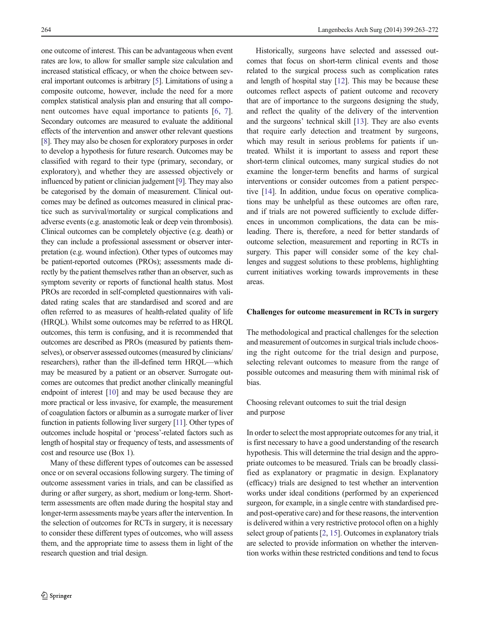one outcome of interest. This can be advantageous when event rates are low, to allow for smaller sample size calculation and increased statistical efficacy, or when the choice between several important outcomes is arbitrary [\[5](#page-7-0)]. Limitations of using a composite outcome, however, include the need for a more complex statistical analysis plan and ensuring that all component outcomes have equal importance to patients [\[6](#page-7-0), [7](#page-7-0)]. Secondary outcomes are measured to evaluate the additional effects of the intervention and answer other relevant questions [\[8\]](#page-7-0). They may also be chosen for exploratory purposes in order to develop a hypothesis for future research. Outcomes may be classified with regard to their type (primary, secondary, or exploratory), and whether they are assessed objectively or influenced by patient or clinician judgement [\[9](#page-7-0)]. They may also be categorised by the domain of measurement. Clinical outcomes may be defined as outcomes measured in clinical practice such as survival/mortality or surgical complications and adverse events (e.g. anastomotic leak or deep vein thrombosis). Clinical outcomes can be completely objective (e.g. death) or they can include a professional assessment or observer interpretation (e.g. wound infection). Other types of outcomes may be patient-reported outcomes (PROs); assessments made directly by the patient themselves rather than an observer, such as symptom severity or reports of functional health status. Most PROs are recorded in self-completed questionnaires with validated rating scales that are standardised and scored and are often referred to as measures of health-related quality of life (HRQL). Whilst some outcomes may be referred to as HRQL outcomes, this term is confusing, and it is recommended that outcomes are described as PROs (measured by patients themselves), or observer assessed outcomes (measured by clinicians/ researchers), rather than the ill-defined term HRQL—which may be measured by a patient or an observer. Surrogate outcomes are outcomes that predict another clinically meaningful endpoint of interest [\[10\]](#page-7-0) and may be used because they are more practical or less invasive, for example, the measurement of coagulation factors or albumin as a surrogate marker of liver function in patients following liver surgery [\[11](#page-7-0)]. Other types of outcomes include hospital or 'process'-related factors such as length of hospital stay or frequency of tests, and assessments of cost and resource use (Box 1).

Many of these different types of outcomes can be assessed once or on several occasions following surgery. The timing of outcome assessment varies in trials, and can be classified as during or after surgery, as short, medium or long-term. Shortterm assessments are often made during the hospital stay and longer-term assessments maybe years after the intervention. In the selection of outcomes for RCTs in surgery, it is necessary to consider these different types of outcomes, who will assess them, and the appropriate time to assess them in light of the research question and trial design.

Historically, surgeons have selected and assessed outcomes that focus on short-term clinical events and those related to the surgical process such as complication rates and length of hospital stay [\[12](#page-7-0)]. This may be because these outcomes reflect aspects of patient outcome and recovery that are of importance to the surgeons designing the study, and reflect the quality of the delivery of the intervention and the surgeons' technical skill [\[13\]](#page-7-0). They are also events that require early detection and treatment by surgeons, which may result in serious problems for patients if untreated. Whilst it is important to assess and report these short-term clinical outcomes, many surgical studies do not examine the longer-term benefits and harms of surgical interventions or consider outcomes from a patient perspective [\[14\]](#page-7-0). In addition, undue focus on operative complications may be unhelpful as these outcomes are often rare, and if trials are not powered sufficiently to exclude differences in uncommon complications, the data can be misleading. There is, therefore, a need for better standards of outcome selection, measurement and reporting in RCTs in surgery. This paper will consider some of the key challenges and suggest solutions to these problems, highlighting current initiatives working towards improvements in these areas.

## Challenges for outcome measurement in RCTs in surgery

The methodological and practical challenges for the selection and measurement of outcomes in surgical trials include choosing the right outcome for the trial design and purpose, selecting relevant outcomes to measure from the range of possible outcomes and measuring them with minimal risk of bias.

Choosing relevant outcomes to suit the trial design and purpose

In order to select the most appropriate outcomes for any trial, it is first necessary to have a good understanding of the research hypothesis. This will determine the trial design and the appropriate outcomes to be measured. Trials can be broadly classified as explanatory or pragmatic in design. Explanatory (efficacy) trials are designed to test whether an intervention works under ideal conditions (performed by an experienced surgeon, for example, in a single centre with standardised preand post-operative care) and for these reasons, the intervention is delivered within a very restrictive protocol often on a highly select group of patients [[2,](#page-7-0) [15](#page-7-0)]. Outcomes in explanatory trials are selected to provide information on whether the intervention works within these restricted conditions and tend to focus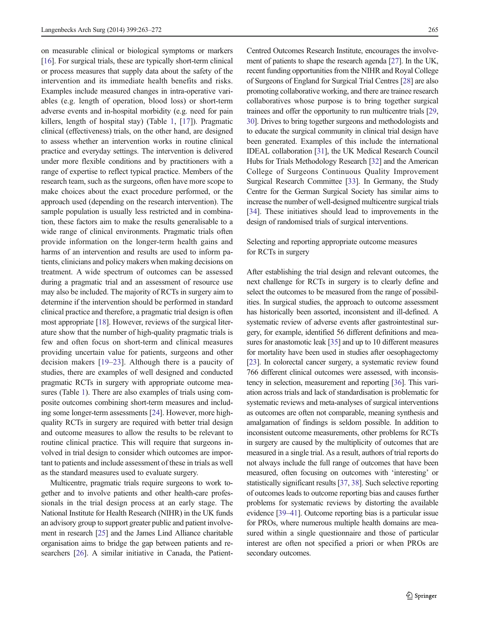on measurable clinical or biological symptoms or markers [\[16\]](#page-7-0). For surgical trials, these are typically short-term clinical or process measures that supply data about the safety of the intervention and its immediate health benefits and risks. Examples include measured changes in intra-operative variables (e.g. length of operation, blood loss) or short-term adverse events and in-hospital morbidity (e.g. need for pain killers, length of hospital stay) (Table [1](#page-3-0), [\[17](#page-7-0)]). Pragmatic clinical (effectiveness) trials, on the other hand, are designed to assess whether an intervention works in routine clinical practice and everyday settings. The intervention is delivered under more flexible conditions and by practitioners with a range of expertise to reflect typical practice. Members of the research team, such as the surgeons, often have more scope to make choices about the exact procedure performed, or the approach used (depending on the research intervention). The sample population is usually less restricted and in combination, these factors aim to make the results generalisable to a wide range of clinical environments. Pragmatic trials often provide information on the longer-term health gains and harms of an intervention and results are used to inform patients, clinicians and policy makers when making decisions on treatment. A wide spectrum of outcomes can be assessed during a pragmatic trial and an assessment of resource use may also be included. The majority of RCTs in surgery aim to determine if the intervention should be performed in standard clinical practice and therefore, a pragmatic trial design is often most appropriate [\[18\]](#page-8-0). However, reviews of the surgical literature show that the number of high-quality pragmatic trials is few and often focus on short-term and clinical measures providing uncertain value for patients, surgeons and other decision makers [\[19](#page-8-0)–[23](#page-8-0)]. Although there is a paucity of studies, there are examples of well designed and conducted pragmatic RCTs in surgery with appropriate outcome measures (Table [1](#page-3-0)). There are also examples of trials using composite outcomes combining short-term measures and including some longer-term assessments [[24](#page-8-0)]. However, more highquality RCTs in surgery are required with better trial design and outcome measures to allow the results to be relevant to routine clinical practice. This will require that surgeons involved in trial design to consider which outcomes are important to patients and include assessment of these in trials as well as the standard measures used to evaluate surgery.

Multicentre, pragmatic trials require surgeons to work together and to involve patients and other health-care professionals in the trial design process at an early stage. The National Institute for Health Research (NIHR) in the UK funds an advisory group to support greater public and patient involvement in research [\[25](#page-8-0)] and the James Lind Alliance charitable organisation aims to bridge the gap between patients and researchers [\[26](#page-8-0)]. A similar initiative in Canada, the PatientCentred Outcomes Research Institute, encourages the involvement of patients to shape the research agenda [\[27\]](#page-8-0). In the UK, recent funding opportunities from the NIHR and Royal College of Surgeons of England for Surgical Trial Centres [\[28\]](#page-8-0) are also promoting collaborative working, and there are trainee research collaboratives whose purpose is to bring together surgical trainees and offer the opportunity to run multicentre trials [\[29,](#page-8-0) [30\]](#page-8-0). Drives to bring together surgeons and methodologists and to educate the surgical community in clinical trial design have been generated. Examples of this include the international IDEAL collaboration [\[31\]](#page-8-0), the UK Medical Research Council Hubs for Trials Methodology Research [\[32\]](#page-8-0) and the American College of Surgeons Continuous Quality Improvement Surgical Research Committee [[33\]](#page-8-0). In Germany, the Study Centre for the German Surgical Society has similar aims to increase the number of well-designed multicentre surgical trials [\[34](#page-8-0)]. These initiatives should lead to improvements in the design of randomised trials of surgical interventions.

# Selecting and reporting appropriate outcome measures for RCTs in surgery

After establishing the trial design and relevant outcomes, the next challenge for RCTs in surgery is to clearly define and select the outcomes to be measured from the range of possibilities. In surgical studies, the approach to outcome assessment has historically been assorted, inconsistent and ill-defined. A systematic review of adverse events after gastrointestinal surgery, for example, identified 56 different definitions and measures for anastomotic leak [\[35\]](#page-8-0) and up to 10 different measures for mortality have been used in studies after oesophagectomy [\[23\]](#page-8-0). In colorectal cancer surgery, a systematic review found 766 different clinical outcomes were assessed, with inconsistency in selection, measurement and reporting [\[36\]](#page-8-0). This variation across trials and lack of standardisation is problematic for systematic reviews and meta-analyses of surgical interventions as outcomes are often not comparable, meaning synthesis and amalgamation of findings is seldom possible. In addition to inconsistent outcome measurements, other problems for RCTs in surgery are caused by the multiplicity of outcomes that are measured in a single trial. As a result, authors of trial reports do not always include the full range of outcomes that have been measured, often focusing on outcomes with 'interesting' or statistically significant results [\[37,](#page-8-0) [38\]](#page-8-0). Such selective reporting of outcomes leads to outcome reporting bias and causes further problems for systematic reviews by distorting the available evidence [[39](#page-8-0)–[41\]](#page-8-0). Outcome reporting bias is a particular issue for PROs, where numerous multiple health domains are measured within a single questionnaire and those of particular interest are often not specified a priori or when PROs are secondary outcomes.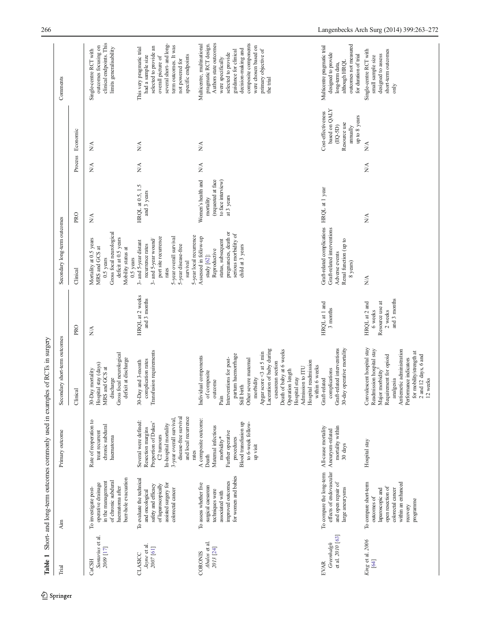<span id="page-3-0"></span>

| Trial                                         | Aim                                                                                                                                               | Primary outcome                                                                                                                                                                                 | Secondary short-term outcomes                                                                                                                                                                                                                                                                                                                                              |                                                                        | Secondary long-term outcomes                                                                                                                                                                |                                                                                           |               |                                                                                               | Comments                                                                                                                                                                                                                                                       |
|-----------------------------------------------|---------------------------------------------------------------------------------------------------------------------------------------------------|-------------------------------------------------------------------------------------------------------------------------------------------------------------------------------------------------|----------------------------------------------------------------------------------------------------------------------------------------------------------------------------------------------------------------------------------------------------------------------------------------------------------------------------------------------------------------------------|------------------------------------------------------------------------|---------------------------------------------------------------------------------------------------------------------------------------------------------------------------------------------|-------------------------------------------------------------------------------------------|---------------|-----------------------------------------------------------------------------------------------|----------------------------------------------------------------------------------------------------------------------------------------------------------------------------------------------------------------------------------------------------------------|
|                                               |                                                                                                                                                   |                                                                                                                                                                                                 | Clinical                                                                                                                                                                                                                                                                                                                                                                   | <b>PRO</b>                                                             | Clinical                                                                                                                                                                                    | <b>PRO</b>                                                                                |               | Process Economic                                                                              |                                                                                                                                                                                                                                                                |
| Santarius et al.<br>2009 [17]<br>CaCSH        | bur-hole evacuation<br>of chronic subdural<br>in the management<br>operative drainage<br>haematoma after<br>To investigate post-                  | Rate of reoperation to<br>chronic subdural<br>treat recurrent<br>haematoma                                                                                                                      | Gross focal neurological<br>deficit at discharge<br>30-Day mortality<br>Hospital stay (days)<br>RS and GCS at<br>discharge<br>Σ                                                                                                                                                                                                                                            | $N\!$                                                                  | Gross focal neurological<br>deficit at 0.5 years<br>Mortality at 0.5 years<br>Mobility status at<br>MRS and GCS at<br>0.5 years<br>0.5 years                                                | ₹                                                                                         | $\frac{1}{2}$ | $\frac{1}{2}$                                                                                 | clinical endpoints. This<br>outcomes focusing on<br>limits generalisability<br>Single-centre RCT with                                                                                                                                                          |
| Jayne et al.<br>2007 [61]<br>CLASICC          | To evaluate the technical<br>assisted surgery for<br>safety and efficacy<br>of laparoscopically<br>colorectal cancer<br>and oncological           | disease-free survival<br>and local recurrence<br>3-year overall survival,<br>Several were defined:<br>Proportion of Dukes'<br>In-hospital mortality<br>Resection margins<br>C2 tumours<br>rates | Transfusion requirements<br>complication rates<br>30-Day and 3-month                                                                                                                                                                                                                                                                                                       | HRQL at 2 weeks<br>and 3 months                                        | 5-year local recurrence<br>5-year overall survival<br>port site recurrence<br>3- and 5-year wound/<br>3- and 5-year distant<br>recurrence rates<br>5-year disease-free<br>survival<br>rates | HRQL at 0.5, 1.5<br>and 3 years                                                           | N/A           | N/A                                                                                           | several short- and long-<br>term outcomes. It was<br>selected to provide an<br>This very pragmatic trial<br>specific endpoints<br>had a sample size<br>overall picture of<br>not powered for                                                                   |
| Abalos et al.<br>2013 [24]<br><b>CORONIS</b>  | for women and babies<br>improved outcomes<br>To assess whether five<br>surgical caesarean<br>techniques were<br>associated with                   | A composite outcome:<br>Blood transfusion up<br>to 6-week follow-<br>Maternal infectious<br>Further operative<br>morbidity*<br>procedures<br>up visit<br>Death                                  | Laceration of baby during<br>Death of baby at 6 weeks<br>Operation length<br>Apgar score <3 at 5 min<br>partum haemorrhage<br>Individual components<br>Pain<br>Interventions for post-<br>Still birth<br>Other severe maternal<br>caesarean section<br>Hospital readmission<br>within 6 weeks<br>Admission to ITU<br>of composite<br>Hospital stay<br>morbidity<br>outcome |                                                                        | pregnancies, death or<br>serious morbidity of<br>Assessed in follow-up<br>status, subsequent<br>child at 3 years<br>Reproductive<br>study [62]:                                             | (requested at face<br>Women's health and<br>to face interview)<br>at 3 years<br>mortality | ₹             | ₿                                                                                             | Authors state outcomes<br>composite components<br>pragmatic RCT design.<br>Multicentre, multinational<br>were chosen based on<br>decision-making and<br>primary objective of<br>guidance for clinical<br>selected to provide<br>were specifically<br>the trial |
| et al. 2010 [63]<br>Greenhalgh<br><b>EVAR</b> | effects of endovascular<br>To compare the long-term<br>and open repair of<br>large aneurysms                                                      | mortality within<br>All-cause mortality<br>Aneurysm-related<br>30 days                                                                                                                          | Graft-related interventions<br>30-day operative mortality<br>complications<br>Graft-related                                                                                                                                                                                                                                                                                | HRQL at 1 and<br>3 months                                              | Graft-related complications<br>Graft-related interventions<br>Renal function (up to<br>Adverse events<br>8 years)                                                                           | HRQL at 1 year                                                                            |               | based on QALY<br>Cost-effectiveness<br>up to 8 years<br>Resource use<br>$(EQ-5D)$<br>annually | outcomes not measured<br>Multicentre pragmatic trial<br>designed to provide<br>for duration of trial<br>although HRQL<br>long-term data,                                                                                                                       |
| King et al. 2006<br>[64]                      | To compare short-term<br>within an enhanced<br>open resection of<br>colorectal cancer<br>laparoscopic and<br>outcomes of<br>programme<br>recovery | Hospital stay                                                                                                                                                                                   | Convalescent hospital stay<br>Readmission hospital stay<br>Antiemetic administration<br>for mobility/strength at<br>Requirement for opioid<br>$2$ and $12\;{\rm days},$ $6\;{\rm and}$<br>Performance indicators<br>Major morbidity<br>analgesia<br>12 weeks                                                                                                               | and 3 months<br>Resource use at<br>HRQL at 2 and<br>2 weeks<br>6 weeks | ₹                                                                                                                                                                                           | $\frac{1}{2}$                                                                             | ₹             | ₹                                                                                             | short-term outcomes<br>Single-centre RCT with<br>designed to assess<br>small sample size<br>$\sin\phi$                                                                                                                                                         |

Table 1 Short- and long-term outcomes commonly used in examples of RCTs in surgery Table 1 Short- and long-term outcomes commonly used in examples of RCTs in surgery

 $\underline{\textcircled{\tiny 2}}$  Springer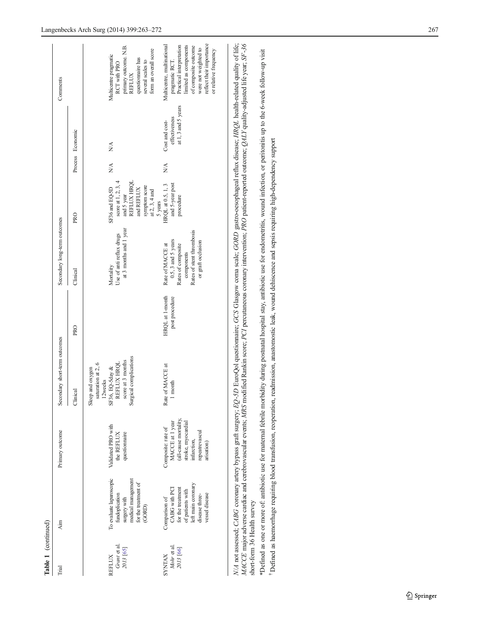| Table 1 (continued)                                                                              |                                                                                                                                                                                                                                                         |                                                                                                                                                                                          |                                                                                                                                                                   |                                   |                                                                                                                                                                                                     |                                                                                                                                                                                               |                                     |                                                              |                                                                                                                                                                                                                                                                                                                                                       |
|--------------------------------------------------------------------------------------------------|---------------------------------------------------------------------------------------------------------------------------------------------------------------------------------------------------------------------------------------------------------|------------------------------------------------------------------------------------------------------------------------------------------------------------------------------------------|-------------------------------------------------------------------------------------------------------------------------------------------------------------------|-----------------------------------|-----------------------------------------------------------------------------------------------------------------------------------------------------------------------------------------------------|-----------------------------------------------------------------------------------------------------------------------------------------------------------------------------------------------|-------------------------------------|--------------------------------------------------------------|-------------------------------------------------------------------------------------------------------------------------------------------------------------------------------------------------------------------------------------------------------------------------------------------------------------------------------------------------------|
| Trial                                                                                            | Aim                                                                                                                                                                                                                                                     | Primary outcome                                                                                                                                                                          | Secondary short-term outcomes                                                                                                                                     |                                   | Secondary long-term outcomes                                                                                                                                                                        |                                                                                                                                                                                               |                                     |                                                              | Comments                                                                                                                                                                                                                                                                                                                                              |
|                                                                                                  |                                                                                                                                                                                                                                                         |                                                                                                                                                                                          | <b>Tinical</b>                                                                                                                                                    | PRO                               | Clinical                                                                                                                                                                                            | PRO                                                                                                                                                                                           |                                     | Process Economic                                             |                                                                                                                                                                                                                                                                                                                                                       |
| Grant et al.<br>$Mohr$ et al.<br>2013 $\left[ 66\right]$<br>2013 [65]<br><b>SYNTAX</b><br>REFLUX | To evaluate laparoscopic<br>surgery with<br>medical management<br>for the treatment of<br>left main coronary<br>CABG with PCI<br>for the treatment<br>of patients with<br>vessel disease<br>fundoplication<br>disease three-<br>Comparison of<br>(GORD) | (all-cause mortality,<br>stroke, myocardial<br>MACCE at 1 year<br>Validated PRO with<br>Composite: rate of<br>repeatrevascul<br>the REFLUX<br>questionnaire<br>infarction,<br>arisation) | Surgical complications<br>score at 3 months<br>saturation at 2, 6<br>REFLUX HRQL<br>Rate of MACCE at<br>SF36, EQ-5day &<br>Sleep and oxygen<br>12weeks<br>1 month | HRQL at 1-month<br>post procedure | at 3 months and 1 year<br>Rates of stent thrombosis<br>Use of anti reflux drugs<br>$0.5$ , 3 and 5 years<br>or graft occlusion<br>Rates of composite<br>Rate of MACCE at<br>components<br>Mortality | and 5 year<br>REFLUX HRQL<br>score at $1, 2, 3, 4$<br>HRQL at 0.5, 1, 3<br>and 5-year post<br>symptom score<br>at $2$ , $3$ , $4$ and<br>and REFLUX<br>SF36 and EQ-5D<br>procedure<br>5 years | NA.<br>$\stackrel{\triangle}{\geq}$ | at 1, 3 and 5 years<br>effectiveness<br>Cost and cost-<br>NA | reflect their importance<br>Multicentre, multinational<br>Practical interpretation<br>limited as components<br>of composite outcome<br>primary outcome. N.B.<br>REFLUX<br>were not weighted to<br>form an overall score<br>or relative frequency<br>Multicentre pragmatic<br>questionnaire has<br>pragmatic RCT.<br>several scales to<br>RCT with PRO |
|                                                                                                  |                                                                                                                                                                                                                                                         |                                                                                                                                                                                          |                                                                                                                                                                   |                                   |                                                                                                                                                                                                     |                                                                                                                                                                                               |                                     |                                                              |                                                                                                                                                                                                                                                                                                                                                       |

N/A not assessed; CABG coronary artery bypass graft surgery; EQ-5D EuroQol questionnaire; GCS Glasgow coma scale; GORD gastro-oesophageal reflux disease; HRQL health-related quality of life;<br>MACCE major adverse cardiac and N/A not assessed; CABG coronary artery bypass graft surgery; EQ-5D EuroQol questionnaire; GCS Glasgow coma scale; GORD gastro-oesophageal reflux disease; HRQL health-related quality of life; MACCE major adverse cardiac and cerebrovascular events; MRS modified Rankin score; PCI percutaneous coronary intervention; PRO patient-reported outcome; QALY quality-adjusted life year; SF-36 short-form 36 Health survey short-form 36 Health survey

\*Defined as one or more of: antibiotic use for maternal febrile morbidity during postnatal hospital stay, antibiotic use for endometritis, wound infection, or peritonitis up to the 6-week follow-up visit \*Defined as one or more of: antibiotic use for maternal febrile morbidity during postnatal hospital stay, antibiotic use for endometritis, wound infection, or peritonitis up to the 6-week follow-up visit

Defined as haemorrhage requiring blood transfusion, reoperation, readmission, anastomostic leak, wound dehiscence and sepsis requiring high-dependency support Defined as haemorrhage requiring blood transfusion, reoperation, readmission, anastomostic leak, wound dehiscence and sepsis requiring high-dependency support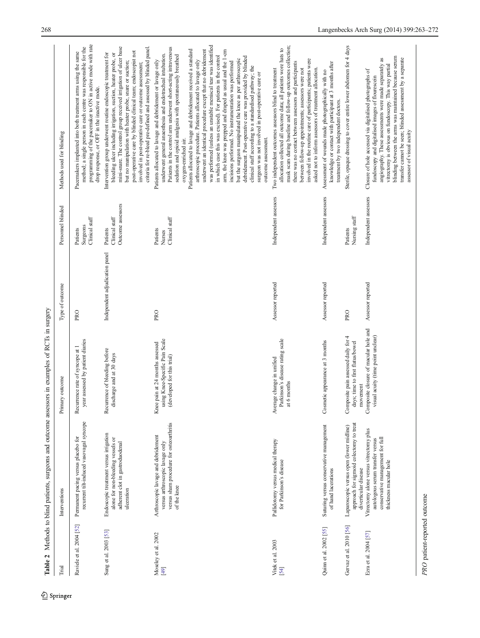$\underline{\textcircled{\tiny 2}}$  Springer

<span id="page-5-0"></span>

|                             | Table 2 Methods to blind patients, surgeons and outcome assessors in examples of RCTs in surgery                                          |                                                                                                 |                                |                                                 |                                                                                                                                                                                                                                                                                                                                                                                                                                                                                                                                                                                                                                                                                                                                                                                                                                                                                                                                                                                                           |
|-----------------------------|-------------------------------------------------------------------------------------------------------------------------------------------|-------------------------------------------------------------------------------------------------|--------------------------------|-------------------------------------------------|-----------------------------------------------------------------------------------------------------------------------------------------------------------------------------------------------------------------------------------------------------------------------------------------------------------------------------------------------------------------------------------------------------------------------------------------------------------------------------------------------------------------------------------------------------------------------------------------------------------------------------------------------------------------------------------------------------------------------------------------------------------------------------------------------------------------------------------------------------------------------------------------------------------------------------------------------------------------------------------------------------------|
| Trial                       | Interventions                                                                                                                             | Primary outcome                                                                                 | Type of outcome                | Personnel blinded                               | Methods used for blinding                                                                                                                                                                                                                                                                                                                                                                                                                                                                                                                                                                                                                                                                                                                                                                                                                                                                                                                                                                                 |
| Raviele et al. 2004 [52]    | recurrent tilt-induced vasovagal syncope<br>Permanent pacing versus placebo for                                                           | year assessed by patient diaries<br>Recurrence rate of syncope at 1                             | PRO                            | Clinical staff<br>Surgeons<br>Patients          | programming of the pacemaker to ON in active mode with rate<br>method; a single person in each centre was responsible for the<br>Pacemakers implanted into both treatment arms using the same<br>drop response, or OFF in the inactive mode.                                                                                                                                                                                                                                                                                                                                                                                                                                                                                                                                                                                                                                                                                                                                                              |
| Sung et al. 2003 [53]       | Endoscopic treatment versus irrigation<br>alone for non-bleeding vessels or<br>adherent clot in gastroduodenal<br>ulceration              | Recurrence of bleeding before<br>discharge and at 30 days                                       | Independent adjudication panel | Outcome assessors<br>Clinical staff<br>Patients | mini-snare. The control group received irrigation of ulcer base<br>criteria for re-bleed pre-defined and assessed by blinded panel.<br>post-operative care by blinded clinical team; endoscopist not<br>Intervention group underwent routine endoscopic treatment for<br>bleeding ulcer including irrigation, suction, heater probe, or<br>but no manipulation with heater probe, snare or suction;<br>involved in post-operative care or outcome assessment;                                                                                                                                                                                                                                                                                                                                                                                                                                                                                                                                             |
| Moseley et al. 2002<br>[49] | versus sham procedure for osteoarthritis<br>Arthroscopic lavage and debridement<br>versus arthroscopic lavage only<br>of the knee         | using Knee-Specific Pain Scale<br>Knee pain at 24 months assessed<br>(developed for this trial) | PRO                            | Clinical staff<br>Patients<br>Nurses            | was performed (unless an unstable meniscal tear was identified<br>Patients in the control arm underwent short-acting intravenous<br>Patients allocated to lavage and debridement received a standard<br>underwent an identical procedure except that no debridement<br>arm, the knee was prepped and draped as usual and the 1-cm<br>underwent general anaesthesia and endotracheal intubation.<br>sedation and opioid analgesia with spontaneously breathed<br>in which case this was excised). For patients in the control<br>debridement. Post-operative care was provided by blinded<br>but the surgeon manipulated the knee as per arthroscopic<br>Patients allocated to lavage and debridement or lavage only<br>arthroscopic procedure. Patients allocated to lavage only<br>incisions performed. No instrumentation was performed<br>clinical staff according to a standardised pathway; the<br>surgeon was not involved in post-operative care or<br>outcome assessment.<br>oxygen-enriched air. |
| Vitek et al. 2003<br>[54]   | Pallidotomy versus medical therapy<br>for Parkinson's disease                                                                             | Parkinson's disease rating scale<br>at 6 months<br>Average change in unified                    | Assessor reported              | Independent assessors                           | mask scars during baseline and follow-up outcomes collection;<br>allocation collected all outcome data; all patients wore hats to<br>involved in the routine care of participants; patients were<br>there was no contact between assessors and participants<br>asked not to inform assessors of treatment allocation.<br>Two independent outcomes assessors blind to treatment<br>between follow-up appointments; assessors were not                                                                                                                                                                                                                                                                                                                                                                                                                                                                                                                                                                      |
| Quinn et al. 2002 [55]      | Suturing versus conservative management<br>of hand lacerations                                                                            | Cosmetic appearance at 3 months                                                                 | Assessor reported              | Independent assessors                           | knowledge or contact with participant at 3 months after<br>Assessment of wounds made photographically with no<br>treatment by two independent doctors.                                                                                                                                                                                                                                                                                                                                                                                                                                                                                                                                                                                                                                                                                                                                                                                                                                                    |
| Gervaz et al. 2010 [56]     | approach for sigmoid colectomy to treat<br>Laparoscopic versus open (lower midline)<br>diverticular disease                               | 4<br>Composite pain assessed daily for<br>days; time to first flatus/bowel<br>movement          | <b>PRO</b>                     | Nursing staff<br>Patients                       | Sterile, opaque dressing to cover entire lower abdomen for 4 days                                                                                                                                                                                                                                                                                                                                                                                                                                                                                                                                                                                                                                                                                                                                                                                                                                                                                                                                         |
| Ezra et al. 2004 [57]       | Vitrectomy alone versus vitrectomy plus<br>conservative management for full<br>autologous serum transfer versus<br>thickness macular hole | Composite closure of macular hole and<br>visual acuity (time point unclear)                     | Assessor reported              | Independent assessors                           | blinding between the arms was maintained because serum<br>angiography. These assessments were made separately as<br>transfer cannot be seen; blinded assessment by a separate<br>vitrectomy is obvious on fundoscopy. This way partial<br>Closure of hole accessed via digitalised photographs of<br>fundoscopy and digitalised images of flourescein<br>assessor of visual acuity                                                                                                                                                                                                                                                                                                                                                                                                                                                                                                                                                                                                                        |

PRO patient-reported outcome PRO patient-reported outcome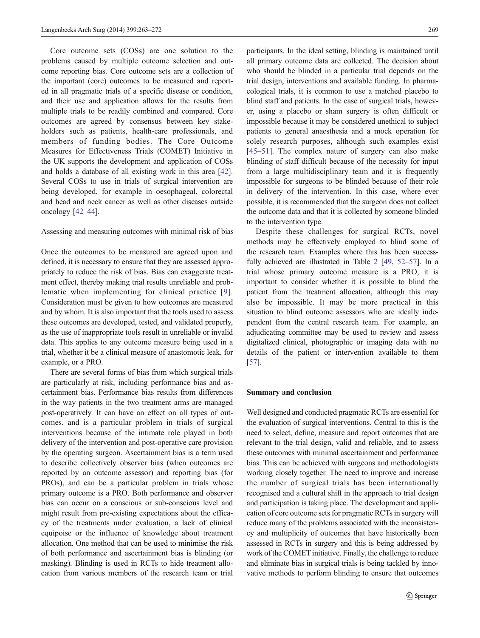Core outcome sets (COSs) are one solution to the problems caused by multiple outcome selection and outcome reporting bias. Core outcome sets are a collection of the important (core) outcomes to be measured and reported in all pragmatic trials of a specific disease or condition, and their use and application allows for the results from multiple trials to be readily combined and compared. Core outcomes are agreed by consensus between key stakeholders such as patients, health-care professionals, and members of funding bodies. The Core Outcome Measures for Effectiveness Trials (COMET) Initiative in the UK supports the development and application of COSs and holds a database of all existing work in this area [[42\]](#page-8-0). Several COSs to use in trials of surgical intervention are being developed, for example in oesophageal, colorectal and head and neck cancer as well as other diseases outside oncology [[42](#page-8-0)–[44](#page-8-0)].

Assessing and measuring outcomes with minimal risk of bias

Once the outcomes to be measured are agreed upon and defined, it is necessary to ensure that they are assessed appropriately to reduce the risk of bias. Bias can exaggerate treatment effect, thereby making trial results unreliable and problematic when implementing for clinical practice [[9](#page-7-0)]. Consideration must be given to how outcomes are measured and by whom. It is also important that the tools used to assess these outcomes are developed, tested, and validated properly, as the use of inappropriate tools result in unreliable or invalid data. This applies to any outcome measure being used in a trial, whether it be a clinical measure of anastomotic leak, for example, or a PRO.

There are several forms of bias from which surgical trials are particularly at risk, including performance bias and ascertainment bias. Performance bias results from differences in the way patients in the two treatment arms are managed post-operatively. It can have an effect on all types of outcomes, and is a particular problem in trials of surgical interventions because of the intimate role played in both delivery of the intervention and post-operative care provision by the operating surgeon. Ascertainment bias is a term used to describe collectively observer bias (when outcomes are reported by an outcome assessor) and reporting bias (for PROs), and can be a particular problem in trials whose primary outcome is a PRO. Both performance and observer bias can occur on a conscious or sub-conscious level and might result from pre-existing expectations about the efficacy of the treatments under evaluation, a lack of clinical equipoise or the influence of knowledge about treatment allocation. One method that can be used to minimise the risk of both performance and ascertainment bias is blinding (or masking). Blinding is used in RCTs to hide treatment allocation from various members of the research team or trial

participants. In the ideal setting, blinding is maintained until all primary outcome data are collected. The decision about who should be blinded in a particular trial depends on the trial design, interventions and available funding. In pharmacological trials, it is common to use a matched placebo to blind staff and patients. In the case of surgical trials, however, using a placebo or sham surgery is often difficult or impossible because it may be considered unethical to subject patients to general anaesthesia and a mock operation for solely research purposes, although such examples exist [\[45](#page-8-0)–[51\]](#page-8-0). The complex nature of surgery can also make blinding of staff difficult because of the necessity for input from a large multidisciplinary team and it is frequently impossible for surgeons to be blinded because of their role in delivery of the intervention. In this case, where ever possible, it is recommended that the surgeon does not collect the outcome data and that it is collected by someone blinded to the intervention type.

Despite these challenges for surgical RCTs, novel methods may be effectively employed to blind some of the research team. Examples where this has been successfully achieved are illustrated in Table [2](#page-5-0) [\[49](#page-8-0), [52](#page-8-0)–[57](#page-9-0)]. In a trial whose primary outcome measure is a PRO, it is important to consider whether it is possible to blind the patient from the treatment allocation, although this may also be impossible. It may be more practical in this situation to blind outcome assessors who are ideally independent from the central research team. For example, an adjudicating committee may be used to review and assess digitalized clinical, photographic or imaging data with no details of the patient or intervention available to them [\[57](#page-9-0)].

### Summary and conclusion

Well designed and conducted pragmatic RCTs are essential for the evaluation of surgical interventions. Central to this is the need to select, define, measure and report outcomes that are relevant to the trial design, valid and reliable, and to assess these outcomes with minimal ascertainment and performance bias. This can be achieved with surgeons and methodologists working closely together. The need to improve and increase the number of surgical trials has been internationally recognised and a cultural shift in the approach to trial design and participation is taking place. The development and application of core outcome sets for pragmatic RCTs in surgery will reduce many of the problems associated with the inconsistency and multiplicity of outcomes that have historically been assessed in RCTs in surgery and this is being addressed by work of the COMET initiative. Finally, the challenge to reduce and eliminate bias in surgical trials is being tackled by innovative methods to perform blinding to ensure that outcomes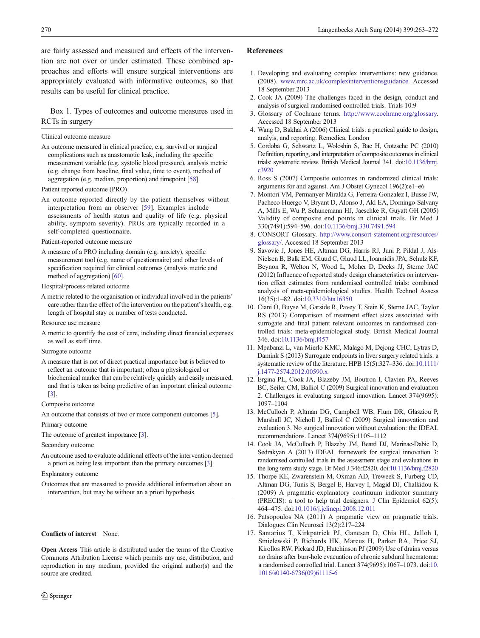<span id="page-7-0"></span>are fairly assessed and measured and effects of the intervention are not over or under estimated. These combined approaches and efforts will ensure surgical interventions are appropriately evaluated with informative outcomes, so that results can be useful for clinical practice.

Box 1. Types of outcomes and outcome measures used in RCTs in surgery

Clinical outcome measure

An outcome measured in clinical practice, e.g. survival or surgical complications such as anastomotic leak, including the specific measurement variable (e.g. systolic blood pressure), analysis metric (e.g. change from baseline, final value, time to event), method of aggregation (e.g. median, proportion) and timepoint [\[58](#page-9-0)].

Patient reported outcome (PRO)

An outcome reported directly by the patient themselves without interpretation from an observer [\[59](#page-9-0)]. Examples include assessments of health status and quality of life (e.g. physical ability, symptom severity). PROs are typically recorded in a self-completed questionnaire.

Patient-reported outcome measure

A measure of a PRO including domain (e.g. anxiety), specific measurement tool (e.g. name of questionnaire) and other levels of specification required for clinical outcomes (analysis metric and method of aggregation) [[60\]](#page-9-0).

Hospital/process-related outcome

- A metric related to the organisation or individual involved in the patients' care rather than the effect of the intervention on the patient's health, e.g. length of hospital stay or number of tests conducted.
- Resource use measure
- A metric to quantify the cost of care, including direct financial expenses as well as staff time.

#### Surrogate outcome

A measure that is not of direct practical importance but is believed to reflect an outcome that is important; often a physiological or biochemical marker that can be relatively quickly and easily measured, and that is taken as being predictive of an important clinical outcome [3].

Composite outcome

An outcome that consists of two or more component outcomes [5].

Primary outcome

The outcome of greatest importance [3].

Secondary outcome

An outcome used to evaluate additional effects of the intervention deemed a priori as being less important than the primary outcomes [3].

Explanatory outcome

Outcomes that are measured to provide additional information about an intervention, but may be without an a priori hypothesis.

#### Conflicts of interest None.

Open Access This article is distributed under the terms of the Creative Commons Attribution License which permits any use, distribution, and reproduction in any medium, provided the original author(s) and the source are credited.

## References

- 1. Developing and evaluating complex interventions: new guidance. (2008). [www.mrc.ac.uk/complexinterventionsguidance.](http://www.mrc.ac.uk/complexinterventionsguidance) Accessed 18 September 2013
- 2. Cook JA (2009) The challenges faced in the design, conduct and analysis of surgical randomised controlled trials. Trials 10:9
- 3. Glossary of Cochrane terms. [http://www.cochrane.org/glossary.](http://www.cochrane.org/glossary) Accessed 18 September 2013
- 4. Wang D, Bakhai A (2006) Clinical trials: a practical guide to design, analyis, and reporting. Remedica, London
- 5. Cordoba G, Schwartz L, Woloshin S, Bae H, Gotzsche PC (2010) Definition, reporting, and interpretation of composite outcomes in clinical trials: systematic review. British Medical Journal 341. doi[:10.1136/bmj.](http://dx.doi.org/10.1136/bmj.c3920) [c3920](http://dx.doi.org/10.1136/bmj.c3920)
- 6. Ross S (2007) Composite outcomes in randomized clinical trials: arguments for and against. Am J Obstet Gynecol 196(2):e1–e6
- 7. Montori VM, Permanyer-Miralda G, Ferreira-Gonzalez I, Busse JW, Pacheco-Huergo V, Bryant D, Alonso J, Akl EA, Domingo-Salvany A, Mills E, Wu P, Schunemann HJ, Jaeschke R, Guyatt GH (2005) Validity of composite end points in clinical trials. Br Med J 330(7491):594–596. doi[:10.1136/bmj.330.7491.594](http://dx.doi.org/10.1136/bmj.330.7491.594)
- 8. CONSORT Glossary. [http://www.consort-statement.org/resources/](http://www.consort-statement.org/resources/glossary/) [glossary/](http://www.consort-statement.org/resources/glossary/). Accessed 18 September 2013
- 9. Savovic J, Jones HE, Altman DG, Harris RJ, Juni P, Pildal J, Als-Nielsen B, Balk EM, Gluud C, Gluud LL, Ioannidis JPA, Schulz KF, Beynon R, Welton N, Wood L, Moher D, Deeks JJ, Sterne JAC (2012) Influence of reported study design characteristics on intervention effect estimates from randomised controlled trials: combined analysis of meta-epidemiological studies. Health Technol Assess 16(35):1–82. doi[:10.3310/hta16350](http://dx.doi.org/10.3310/hta16350)
- 10. Ciani O, Buyse M, Garside R, Pavey T, Stein K, Sterne JAC, Taylor RS (2013) Comparison of treatment effect sizes associated with surrogate and final patient relevant outcomes in randomised controlled trials: meta-epidemiological study. British Medical Journal 346. doi[:10.1136/bmj.f457](http://dx.doi.org/10.1136/bmj.f457)
- 11. Mpabanzi L, van Mierlo KMC, Malago M, Dejong CHC, Lytras D, Damink S (2013) Surrogate endpoints in liver surgery related trials: a systematic review of the literature. HPB 15(5):327–336. doi[:10.1111/](http://dx.doi.org/10.1111/j.1477-2574.2012.00590.x) [j.1477-2574.2012.00590.x](http://dx.doi.org/10.1111/j.1477-2574.2012.00590.x)
- 12. Ergina PL, Cook JA, Blazeby JM, Boutron I, Clavien PA, Reeves BC, Seiler CM, Balliol C (2009) Surgical innovation and evaluation 2. Challenges in evaluating surgical innovation. Lancet 374(9695): 1097–1104
- 13. McCulloch P, Altman DG, Campbell WB, Flum DR, Glasziou P, Marshall JC, Nicholl J, Balliol C (2009) Surgical innovation and evaluation 3. No surgical innovation without evaluation: the IDEAL recommendations. Lancet 374(9695):1105–1112
- 14. Cook JA, McCulloch P, Blazeby JM, Beard DJ, Marinac-Dabic D, Sedrakyan A (2013) IDEAL framework for surgical innovation 3: randomised controlled trials in the assessment stage and evaluations in the long term study stage. Br Med J 346:f2820. doi[:10.1136/bmj.f2820](http://dx.doi.org/10.1136/bmj.f2820)
- 15. Thorpe KE, Zwarenstein M, Oxman AD, Treweek S, Furberg CD, Altman DG, Tunis S, Bergel E, Harvey I, Magid DJ, Chalkidou K (2009) A pragmatic-explanatory continuum indicator summary (PRECIS): a tool to help trial designers. J Clin Epidemiol 62(5): 464–475. doi:[10.1016/j.jclinepi.2008.12.011](http://dx.doi.org/10.1016/j.jclinepi.2008.12.011)
- 16. Patsopoulos NA (2011) A pragmatic view on pragmatic trials. Dialogues Clin Neurosci 13(2):217–224
- 17. Santarius T, Kirkpatrick PJ, Ganesan D, Chia HL, Jalloh I, Smielewski P, Richards HK, Marcus H, Parker RA, Price SJ, Kirollos RW, Pickard JD, Hutchinson PJ (2009) Use of drains versus no drains after burr-hole evacuation of chronic subdural haematoma: a randomised controlled trial. Lancet 374(9695):1067–1073. doi[:10.](http://dx.doi.org/10.1016/s0140-6736(09)61115-6) [1016/s0140-6736\(09\)61115-6](http://dx.doi.org/10.1016/s0140-6736(09)61115-6)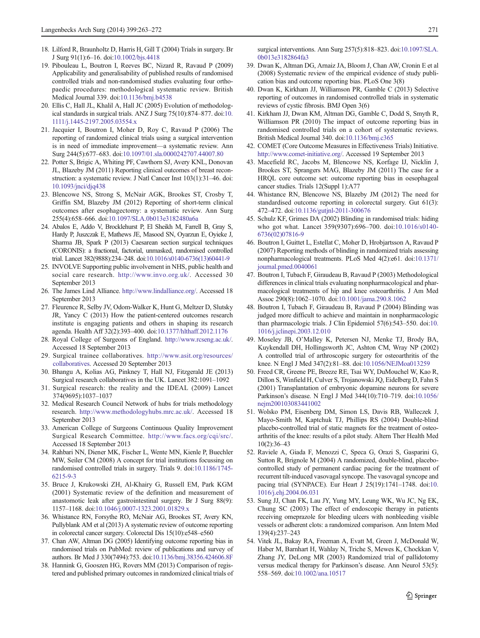- <span id="page-8-0"></span>18. Lilford R, Braunholtz D, Harris H, Gill T (2004) Trials in surgery. Br J Surg 91(1):6–16. doi[:10.1002/bjs.4418](http://dx.doi.org/10.1002/bjs.4418)
- 19. Pibouleau L, Boutron I, Reeves BC, Nizard R, Ravaud P (2009) Applicability and generalisability of published results of randomised controlled trials and non-randomised studies evaluating four orthopaedic procedures: methodological systematic review. British Medical Journal 339. doi[:10.1136/bmj.b4538](http://dx.doi.org/10.1136/bmj.b4538)
- 20. Ellis C, Hall JL, Khalil A, Hall JC (2005) Evolution of methodological standards in surgical trials. ANZ J Surg 75(10):874–877. doi:[10.](http://dx.doi.org/10.1111/j.1445-2197.2005.03554.x) [1111/j.1445-2197.2005.03554.x](http://dx.doi.org/10.1111/j.1445-2197.2005.03554.x)
- 21. Jacquier I, Boutron I, Moher D, Roy C, Ravaud P (2006) The reporting of randomized clinical trials using a surgical intervention is in need of immediate improvement—a systematic review. Ann Surg 244(5):677–683. doi:[10.1097/01.sla.0000242707.44007.80](http://dx.doi.org/10.1097/01.sla.0000242707.44007.80)
- 22. Potter S, Brigic A, Whiting PF, Cawthorn SJ, Avery KNL, Donovan JL, Blazeby JM (2011) Reporting clinical outcomes of breast reconstruction: a systematic review. J Natl Cancer Inst 103(1):31–46. doi: [10.1093/jnci/djq438](http://dx.doi.org/10.1093/jnci/djq438)
- 23. Blencowe NS, Strong S, McNair AGK, Brookes ST, Crosby T, Griffin SM, Blazeby JM (2012) Reporting of short-term clinical outcomes after esophagectomy: a systematic review. Ann Surg 255(4):658–666. doi:[10.1097/SLA.0b013e3182480a6a](http://dx.doi.org/10.1097/SLA.0b013e3182480a6a)
- 24. Abalos E, Addo V, Brocklehurst P, El Sheikh M, Farrell B, Gray S, Hardy P, Juszczak E, Mathews JE, Masood SN, Oyarzun E, Oyieke J, Sharma JB, Spark P (2013) Caesarean section surgical techniques (CORONIS): a fractional, factorial, unmasked, randomised controlled trial. Lancet 382(9888):234–248. doi[:10.1016/s0140-6736\(13\)60441-9](http://dx.doi.org/10.1016/s0140-6736(13)60441-9)
- 25. INVOLVE Supporting public involvement in NHS, public health and social care research. <http://www.invo.org.uk/>. Accessed 30 September 2013
- 26. The James Lind Alliance. <http://www.lindalliance.org/>. Accessed 18 September 2013
- 27. Fleurence R, Selby JV, Odom-Walker K, Hunt G, Meltzer D, Slutsky JR, Yancy C (2013) How the patient-centered outcomes research institute is engaging patients and others in shaping its research agenda. Health Aff 32(2):393–400. doi[:10.1377/hlthaff.2012.1176](http://dx.doi.org/10.1377/hlthaff.2012.1176)
- 28. Royal College of Surgeons of England. <http://www.rcseng.ac.uk/>. Accessed 18 September 2013
- 29. Surgical trainee collaboratives. [http://www.asit.org/resources/](http://www.asit.org/resources/collaboratives) [collaboratives](http://www.asit.org/resources/collaboratives). Accessed 20 September 2013
- 30. Bhangu A, Kolias AG, Pinkney T, Hall NJ, Fitzgerald JE (2013) Surgical research collaboratives in the UK. Lancet 382:1091–1092
- 31. Surgical research: the reality and the IDEAL (2009) Lancet 374(9695):1037–1037
- 32. Medical Research Council Network of hubs for trials methodology research. [http://www.methodologyhubs.mrc.ac.uk/.](http://www.methodologyhubs.mrc.ac.uk/) Accessed 18 September 2013
- 33. American College of Surgeons Continuous Quality Improvement Surgical Research Committee. <http://www.facs.org/cqi/src/>. Accessed 18 September 2013
- 34. Rahbari NN, Diener MK, Fischer L, Wente MN, Kienle P, Buechler MW, Seiler CM (2008) A concept for trial institutions focussing on randomised controlled trials in surgery. Trials 9. doi[:10.1186/1745-](http://dx.doi.org/10.1186/1745-6215-9-3) [6215-9-3](http://dx.doi.org/10.1186/1745-6215-9-3)
- 35. Bruce J, Krukowski ZH, Al-Khairy G, Russell EM, Park KGM (2001) Systematic review of the definition and measurement of anastomotic leak after gastrointestinal surgery. Br J Surg 88(9): 1157–1168. doi[:10.1046/j.0007-1323.2001.01829.x](http://dx.doi.org/10.1046/j.0007-1323.2001.01829.x)
- 36. Whistance RN, Forsythe RO, McNair AG, Brookes ST, Avery KN, Pullyblank AM et al (2013) A systematic review of outcome reporting in colorectal cancer surgery. Colorectal Dis 15(10):e548–e560
- 37. Chan AW, Altman DG (2005) Identifying outcome reporting bias in randomised trials on PubMed: review of publications and survey of authors. Br Med J 330(7494):753. doi[:10.1136/bmj.38356.424606.8F](http://dx.doi.org/10.1136/bmj.38356.424606.8F)
- 38. Hannink G, Gooszen HG, Rovers MM (2013) Comparison of registered and published primary outcomes in randomized clinical trials of

surgical interventions. Ann Surg 257(5):818–823. doi:[10.1097/SLA.](http://dx.doi.org/10.1097/SLA.0b013e3182864fa3) [0b013e3182864fa3](http://dx.doi.org/10.1097/SLA.0b013e3182864fa3)

- 39. Dwan K, Altman DG, Arnaiz JA, Bloom J, Chan AW, Cronin E et al (2008) Systematic review of the empirical evidence of study publication bias and outcome reporting bias. PLoS One 3(8)
- 40. Dwan K, Kirkham JJ, Williamson PR, Gamble C (2013) Selective reporting of outcomes in randomised controlled trials in systematic reviews of cystic fibrosis. BMJ Open 3(6)
- 41. Kirkham JJ, Dwan KM, Altman DG, Gamble C, Dodd S, Smyth R, Williamson PR (2010) The impact of outcome reporting bias in randomised controlled trials on a cohort of systematic reviews. British Medical Journal 340. doi:[10.1136/bmj.c365](http://dx.doi.org/10.1136/bmj.c365)
- 42. COMET (Core Outcome Measures in Effectiveness Trials) Initiative. [http://www.comet-initiative.org/.](http://www.comet-initiative.org/) Accessed 19 September 2013
- 43. Macefield RC, Jacobs M, Blencowe NS, Korfage IJ, Nicklin J, Brookes ST, Sprangers MAG, Blazeby JM (2011) The case for a HRQL core outcome set: outcome reporting bias in oesophageal cancer studies. Trials 12(Suppl 1):A77
- 44. Whistance RN, Blencowe NS, Blazeby JM (2012) The need for standardised outcome reporting in colorectal surgery. Gut 61(3): 472–472. doi:[10.1136/gutjnl-2011-300676](http://dx.doi.org/10.1136/gutjnl-2011-300676)
- 45. Schulz KF, Grimes DA (2002) Blinding in randomised trials: hiding who got what. Lancet 359(9307):696–700. doi[:10.1016/s0140-](http://dx.doi.org/10.1016/s0140-6736(02)07816-9) [6736\(02\)07816-9](http://dx.doi.org/10.1016/s0140-6736(02)07816-9)
- 46. Boutron I, Guittet L, Estellat C, Moher D, Hrobjartsson A, Ravaud P (2007) Reporting methods of blinding in randomized trials assessing nonpharmacological treatments. PLoS Med 4(2):e61. doi[:10.1371/](http://dx.doi.org/10.1371/journal.pmed.0040061) [journal.pmed.0040061](http://dx.doi.org/10.1371/journal.pmed.0040061)
- 47. Boutron I, Tubach F, Giraudeau B, Ravaud P (2003) Methodological differences in clinical trials evaluating nonpharmacological and pharmacological treatments of hip and knee osteoarthritis. J Am Med Assoc 290(8):1062–1070. doi[:10.1001/jama.290.8.1062](http://dx.doi.org/10.1001/jama.290.8.1062)
- 48. Boutron I, Tubach F, Giraudeau B, Ravaud P (2004) Blinding was judged more difficult to achieve and maintain in nonpharmacologic than pharmacologic trials. J Clin Epidemiol 57(6):543–550. doi[:10.](http://dx.doi.org/10.1016/j.jclinepi.2003.12.010) [1016/j.jclinepi.2003.12.010](http://dx.doi.org/10.1016/j.jclinepi.2003.12.010)
- 49. Moseley JB, O'Malley K, Petersen NJ, Menke TJ, Brody BA, Kuykendall DH, Hollingsworth JC, Ashton CM, Wray NP (2002) A controlled trial of arthroscopic surgery for osteoarthritis of the knee. N Engl J Med 347(2):81–88. doi:[10.1056/NEJMoa013259](http://dx.doi.org/10.1056/NEJMoa013259)
- 50. Freed CR, Greene PE, Breeze RE, Tsai WY, DuMouchel W, Kao R, Dillon S, Winfield H, Culver S, Trojanowski JQ, Eidelberg D, Fahn S (2001) Transplantation of embryonic dopamine neurons for severe Parkinson's disease. N Engl J Med 344(10):710–719. doi[:10.1056/](http://dx.doi.org/10.1056/nejm200103083441002) [nejm200103083441002](http://dx.doi.org/10.1056/nejm200103083441002)
- 51. Wolsko PM, Eisenberg DM, Simon LS, Davis RB, Walleczek J, Mayo-Smith M, Kaptchuk TJ, Phillips RS (2004) Double-blind placebo-controlled trial of static magnets for the treatment of osteoarthritis of the knee: results of a pilot study. Altern Ther Health Med 10(2):36–43
- 52. Raviele A, Giada F, Menozzi C, Speca G, Orazi S, Gasparini G, Sutton R, Brignole M (2004) A randomized, double-blind, placebocontrolled study of permanent cardiac pacing for the treatment of recurrent tilt-induced vasovagal syncope. The vasovagal syncope and pacing trial (SYNPACE). Eur Heart J 25(19):1741–1748. doi:[10.](http://dx.doi.org/10.1016/j.ehj.2004.06.031) [1016/j.ehj.2004.06.031](http://dx.doi.org/10.1016/j.ehj.2004.06.031)
- 53. Sung JJ, Chan FK, Lau JY, Yung MY, Leung WK, Wu JC, Ng EK, Chung SC (2003) The effect of endoscopic therapy in patients receiving omeprazole for bleeding ulcers with nonbleeding visible vessels or adherent clots: a randomized comparison. Ann Intern Med 139(4):237–243
- 54. Vitek JL, Bakay RA, Freeman A, Evatt M, Green J, McDonald W, Haber M, Barnhart H, Wahlay N, Triche S, Mewes K, Chockkan V, Zhang JY, DeLong MR (2003) Randomized trial of pallidotomy versus medical therapy for Parkinson's disease. Ann Neurol 53(5): 558–569. doi:[10.1002/ana.10517](http://dx.doi.org/10.1002/ana.10517)